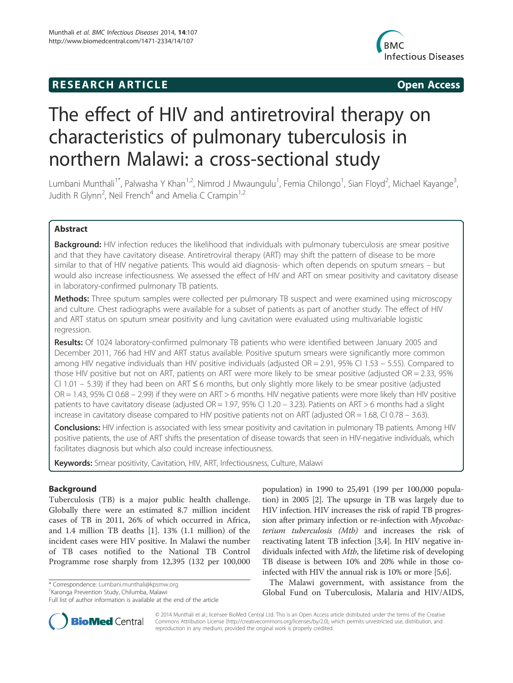## **RESEARCH ARTICLE Example 2014 CONSIDERING CONSIDERING CONSIDERING CONSIDERING CONSIDERING CONSIDERING CONSIDERING CONSIDERING CONSIDERING CONSIDERING CONSIDERING CONSIDERING CONSIDERING CONSIDERING CONSIDERING CONSIDE**



# The effect of HIV and antiretroviral therapy on characteristics of pulmonary tuberculosis in northern Malawi: a cross-sectional study

Lumbani Munthali<sup>1\*</sup>, Palwasha Y Khan<sup>1,2</sup>, Nimrod J Mwaungulu<sup>1</sup>, Femia Chilongo<sup>1</sup>, Sian Floyd<sup>2</sup>, Michael Kayange<sup>3</sup> , Judith R Glynn<sup>2</sup>, Neil French<sup>4</sup> and Amelia C Crampin<sup>1,2</sup>

## Abstract

**Background:** HIV infection reduces the likelihood that individuals with pulmonary tuberculosis are smear positive and that they have cavitatory disease. Antiretroviral therapy (ART) may shift the pattern of disease to be more similar to that of HIV negative patients. This would aid diagnosis- which often depends on sputum smears – but would also increase infectiousness. We assessed the effect of HIV and ART on smear positivity and cavitatory disease in laboratory-confirmed pulmonary TB patients.

Methods: Three sputum samples were collected per pulmonary TB suspect and were examined using microscopy and culture. Chest radiographs were available for a subset of patients as part of another study. The effect of HIV and ART status on sputum smear positivity and lung cavitation were evaluated using multivariable logistic regression.

Results: Of 1024 laboratory-confirmed pulmonary TB patients who were identified between January 2005 and December 2011, 766 had HIV and ART status available. Positive sputum smears were significantly more common among HIV negative individuals than HIV positive individuals (adjusted OR = 2.91, 95% CI 1.53 – 5.55). Compared to those HIV positive but not on ART, patients on ART were more likely to be smear positive (adjusted OR = 2.33, 95% CI 1.01 – 5.39) if they had been on ART ≤ 6 months, but only slightly more likely to be smear positive (adjusted OR = 1.43, 95% CI 0.68 – 2.99) if they were on ART > 6 months. HIV negative patients were more likely than HIV positive patients to have cavitatory disease (adjusted OR = 1.97, 95% CI 1.20 – 3.23). Patients on ART > 6 months had a slight increase in cavitatory disease compared to HIV positive patients not on ART (adjusted  $OR = 1.68$ , CI 0.78 – 3.63).

**Conclusions:** HIV infection is associated with less smear positivity and cavitation in pulmonary TB patients. Among HIV positive patients, the use of ART shifts the presentation of disease towards that seen in HIV-negative individuals, which facilitates diagnosis but which also could increase infectiousness.

Keywords: Smear positivity, Cavitation, HIV, ART, Infectiousness, Culture, Malawi

## Background

Tuberculosis (TB) is a major public health challenge. Globally there were an estimated 8.7 million incident cases of TB in 2011, 26% of which occurred in Africa, and 1.4 million TB deaths [1]. 13% (1.1 million) of the incident cases were HIV positive. In Malawi the number of TB cases notified to the National TB Control Programme rose sharply from 12,395 (132 per 100,000

\* Correspondence: Lumbani.munthali@kpsmw.org <sup>1</sup>

<sup>1</sup> Karonga Prevention Study, Chilumba, Malawi

Full list of author information is available at the end of the article

population) in 1990 to 25,491 (199 per 100,000 population) in 2005 [2]. The upsurge in TB was largely due to HIV infection. HIV increases the risk of rapid TB progression after primary infection or re-infection with Mycobacterium tuberculosis (Mtb) and increases the risk of reactivating latent TB infection [3,4]. In HIV negative individuals infected with Mtb, the lifetime risk of developing TB disease is between 10% and 20% while in those coinfected with HIV the annual risk is 10% or more [5,6].

The Malawi government, with assistance from the Global Fund on Tuberculosis, Malaria and HIV/AIDS,



© 2014 Munthali et al.; licensee BioMed Central Ltd. This is an Open Access article distributed under the terms of the Creative Commons Attribution License (http://creativecommons.org/licenses/by/2.0), which permits unrestricted use, distribution, and reproduction in any medium, provided the original work is properly credited.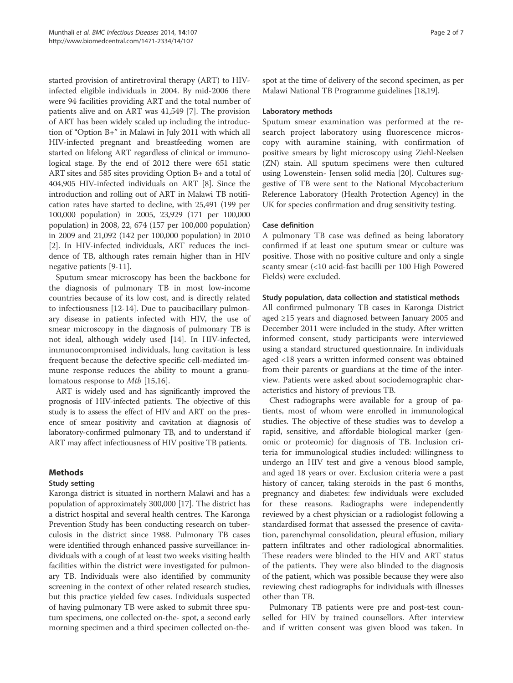started provision of antiretroviral therapy (ART) to HIVinfected eligible individuals in 2004. By mid-2006 there were 94 facilities providing ART and the total number of patients alive and on ART was 41,549 [7]. The provision of ART has been widely scaled up including the introduction of "Option B+" in Malawi in July 2011 with which all HIV-infected pregnant and breastfeeding women are started on lifelong ART regardless of clinical or immunological stage. By the end of 2012 there were 651 static ART sites and 585 sites providing Option B+ and a total of 404,905 HIV-infected individuals on ART [8]. Since the introduction and rolling out of ART in Malawi TB notification rates have started to decline, with 25,491 (199 per 100,000 population) in 2005, 23,929 (171 per 100,000 population) in 2008, 22, 674 (157 per 100,000 population) in 2009 and 21,092 (142 per 100,000 population) in 2010 [2]. In HIV-infected individuals, ART reduces the incidence of TB, although rates remain higher than in HIV negative patients [9-11].

Sputum smear microscopy has been the backbone for the diagnosis of pulmonary TB in most low-income countries because of its low cost, and is directly related to infectiousness [12-14]. Due to paucibacillary pulmonary disease in patients infected with HIV, the use of smear microscopy in the diagnosis of pulmonary TB is not ideal, although widely used [14]. In HIV-infected, immunocompromised individuals, lung cavitation is less frequent because the defective specific cell-mediated immune response reduces the ability to mount a granulomatous response to *Mtb* [15,16].

ART is widely used and has significantly improved the prognosis of HIV-infected patients. The objective of this study is to assess the effect of HIV and ART on the presence of smear positivity and cavitation at diagnosis of laboratory-confirmed pulmonary TB, and to understand if ART may affect infectiousness of HIV positive TB patients.

## Methods

## Study setting

Karonga district is situated in northern Malawi and has a population of approximately 300,000 [17]. The district has a district hospital and several health centres. The Karonga Prevention Study has been conducting research on tuberculosis in the district since 1988. Pulmonary TB cases were identified through enhanced passive surveillance: individuals with a cough of at least two weeks visiting health facilities within the district were investigated for pulmonary TB. Individuals were also identified by community screening in the context of other related research studies, but this practice yielded few cases. Individuals suspected of having pulmonary TB were asked to submit three sputum specimens, one collected on-the- spot, a second early morning specimen and a third specimen collected on-thespot at the time of delivery of the second specimen, as per Malawi National TB Programme guidelines [18,19].

#### Laboratory methods

Sputum smear examination was performed at the research project laboratory using fluorescence microscopy with auramine staining, with confirmation of positive smears by light microscopy using Ziehl-Neelsen (ZN) stain. All sputum specimens were then cultured using Lowenstein- Jensen solid media [20]. Cultures suggestive of TB were sent to the National Mycobacterium Reference Laboratory (Health Protection Agency) in the UK for species confirmation and drug sensitivity testing.

### Case definition

A pulmonary TB case was defined as being laboratory confirmed if at least one sputum smear or culture was positive. Those with no positive culture and only a single scanty smear (<10 acid-fast bacilli per 100 High Powered Fields) were excluded.

### Study population, data collection and statistical methods

All confirmed pulmonary TB cases in Karonga District aged ≥15 years and diagnosed between January 2005 and December 2011 were included in the study. After written informed consent, study participants were interviewed using a standard structured questionnaire. In individuals aged <18 years a written informed consent was obtained from their parents or guardians at the time of the interview. Patients were asked about sociodemographic characteristics and history of previous TB.

Chest radiographs were available for a group of patients, most of whom were enrolled in immunological studies. The objective of these studies was to develop a rapid, sensitive, and affordable biological marker (genomic or proteomic) for diagnosis of TB. Inclusion criteria for immunological studies included: willingness to undergo an HIV test and give a venous blood sample, and aged 18 years or over. Exclusion criteria were a past history of cancer, taking steroids in the past 6 months, pregnancy and diabetes: few individuals were excluded for these reasons. Radiographs were independently reviewed by a chest physician or a radiologist following a standardised format that assessed the presence of cavitation, parenchymal consolidation, pleural effusion, miliary pattern infiltrates and other radiological abnormalities. These readers were blinded to the HIV and ART status of the patients. They were also blinded to the diagnosis of the patient, which was possible because they were also reviewing chest radiographs for individuals with illnesses other than TB.

Pulmonary TB patients were pre and post-test counselled for HIV by trained counsellors. After interview and if written consent was given blood was taken. In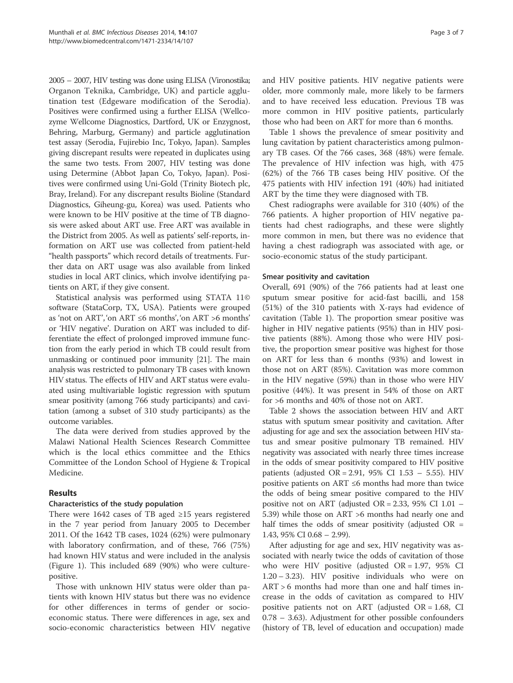2005 – 2007, HIV testing was done using ELISA (Vironostika; Organon Teknika, Cambridge, UK) and particle agglutination test (Edgeware modification of the Serodia). Positives were confirmed using a further ELISA (Wellcozyme Wellcome Diagnostics, Dartford, UK or Enzygnost, Behring, Marburg, Germany) and particle agglutination test assay (Serodia, Fujirebio Inc, Tokyo, Japan). Samples giving discrepant results were repeated in duplicates using the same two tests. From 2007, HIV testing was done using Determine (Abbot Japan Co, Tokyo, Japan). Positives were confirmed using Uni-Gold (Trinity Biotech plc, Bray, Ireland). For any discrepant results Bioline (Standard Diagnostics, Giheung-gu, Korea) was used. Patients who were known to be HIV positive at the time of TB diagnosis were asked about ART use. Free ART was available in the District from 2005. As well as patients' self-reports, information on ART use was collected from patient-held "health passports" which record details of treatments. Further data on ART usage was also available from linked studies in local ART clinics, which involve identifying patients on ART, if they give consent.

Statistical analysis was performed using STATA 11© software (StataCorp, TX, USA). Patients were grouped as 'not on ART', 'on ART ≤6 months', 'on ART >6 months' or 'HIV negative'. Duration on ART was included to differentiate the effect of prolonged improved immune function from the early period in which TB could result from unmasking or continued poor immunity [21]. The main analysis was restricted to pulmonary TB cases with known HIV status. The effects of HIV and ART status were evaluated using multivariable logistic regression with sputum smear positivity (among 766 study participants) and cavitation (among a subset of 310 study participants) as the outcome variables.

The data were derived from studies approved by the Malawi National Health Sciences Research Committee which is the local ethics committee and the Ethics Committee of the London School of Hygiene & Tropical Medicine.

## Results

#### Characteristics of the study population

There were 1642 cases of TB aged ≥15 years registered in the 7 year period from January 2005 to December 2011. Of the 1642 TB cases, 1024 (62%) were pulmonary with laboratory confirmation, and of these, 766 (75%) had known HIV status and were included in the analysis (Figure 1). This included 689 (90%) who were culturepositive.

Those with unknown HIV status were older than patients with known HIV status but there was no evidence for other differences in terms of gender or socioeconomic status. There were differences in age, sex and socio-economic characteristics between HIV negative

and HIV positive patients. HIV negative patients were older, more commonly male, more likely to be farmers and to have received less education. Previous TB was more common in HIV positive patients, particularly those who had been on ART for more than 6 months.

Table 1 shows the prevalence of smear positivity and lung cavitation by patient characteristics among pulmonary TB cases. Of the 766 cases, 368 (48%) were female. The prevalence of HIV infection was high, with 475 (62%) of the 766 TB cases being HIV positive. Of the 475 patients with HIV infection 191 (40%) had initiated ART by the time they were diagnosed with TB.

Chest radiographs were available for 310 (40%) of the 766 patients. A higher proportion of HIV negative patients had chest radiographs, and these were slightly more common in men, but there was no evidence that having a chest radiograph was associated with age, or socio-economic status of the study participant.

#### Smear positivity and cavitation

Overall, 691 (90%) of the 766 patients had at least one sputum smear positive for acid-fast bacilli, and 158 (51%) of the 310 patients with X-rays had evidence of cavitation (Table 1). The proportion smear positive was higher in HIV negative patients (95%) than in HIV positive patients (88%). Among those who were HIV positive, the proportion smear positive was highest for those on ART for less than 6 months (93%) and lowest in those not on ART (85%). Cavitation was more common in the HIV negative (59%) than in those who were HIV positive (44%). It was present in 54% of those on ART for >6 months and 40% of those not on ART.

Table 2 shows the association between HIV and ART status with sputum smear positivity and cavitation. After adjusting for age and sex the association between HIV status and smear positive pulmonary TB remained. HIV negativity was associated with nearly three times increase in the odds of smear positivity compared to HIV positive patients (adjusted OR = 2.91, 95% CI 1.53 - 5.55). HIV positive patients on ART ≤6 months had more than twice the odds of being smear positive compared to the HIV positive not on ART (adjusted  $OR = 2.33$ , 95% CI 1.01 – 5.39) while those on ART >6 months had nearly one and half times the odds of smear positivity (adjusted  $OR =$ 1.43, 95% CI 0.68 – 2.99).

After adjusting for age and sex, HIV negativity was associated with nearly twice the odds of cavitation of those who were HIV positive (adjusted  $OR = 1.97$ , 95% CI 1.20 – 3.23). HIV positive individuals who were on ART > 6 months had more than one and half times increase in the odds of cavitation as compared to HIV positive patients not on ART (adjusted  $OR = 1.68$ , CI 0.78 – 3.63). Adjustment for other possible confounders (history of TB, level of education and occupation) made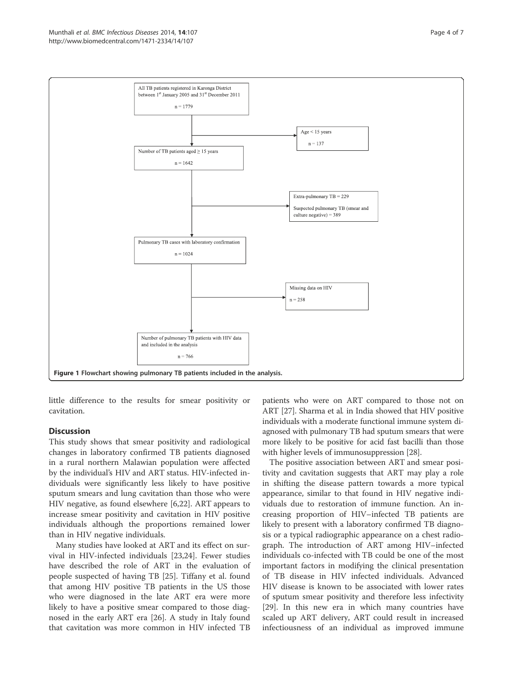

little difference to the results for smear positivity or cavitation.

## Discussion

This study shows that smear positivity and radiological changes in laboratory confirmed TB patients diagnosed in a rural northern Malawian population were affected by the individual's HIV and ART status. HIV-infected individuals were significantly less likely to have positive sputum smears and lung cavitation than those who were HIV negative, as found elsewhere [6,22]. ART appears to increase smear positivity and cavitation in HIV positive individuals although the proportions remained lower than in HIV negative individuals.

Many studies have looked at ART and its effect on survival in HIV-infected individuals [23,24]. Fewer studies have described the role of ART in the evaluation of people suspected of having TB [25]. Tiffany et al. found that among HIV positive TB patients in the US those who were diagnosed in the late ART era were more likely to have a positive smear compared to those diagnosed in the early ART era [26]. A study in Italy found that cavitation was more common in HIV infected TB

patients who were on ART compared to those not on ART [27]. Sharma et al. in India showed that HIV positive individuals with a moderate functional immune system diagnosed with pulmonary TB had sputum smears that were more likely to be positive for acid fast bacilli than those with higher levels of immunosuppression [28].

The positive association between ART and smear positivity and cavitation suggests that ART may play a role in shifting the disease pattern towards a more typical appearance, similar to that found in HIV negative individuals due to restoration of immune function. An increasing proportion of HIV–infected TB patients are likely to present with a laboratory confirmed TB diagnosis or a typical radiographic appearance on a chest radiograph. The introduction of ART among HIV–infected individuals co-infected with TB could be one of the most important factors in modifying the clinical presentation of TB disease in HIV infected individuals. Advanced HIV disease is known to be associated with lower rates of sputum smear positivity and therefore less infectivity [29]. In this new era in which many countries have scaled up ART delivery, ART could result in increased infectiousness of an individual as improved immune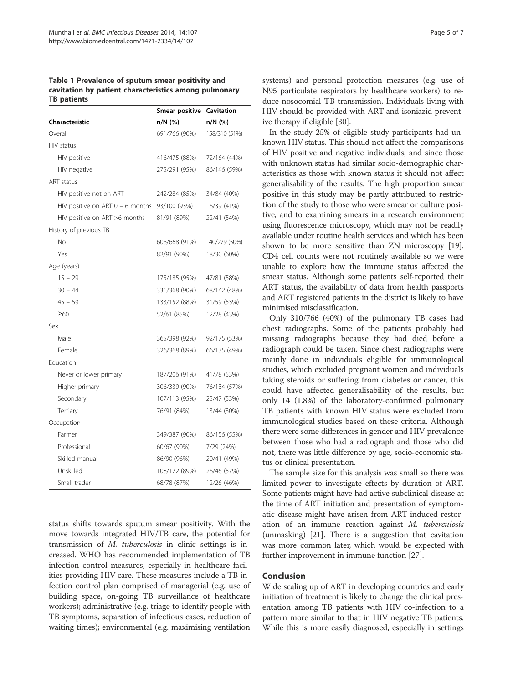Table 1 Prevalence of sputum smear positivity and cavitation by patient characteristics among pulmonary TB patients

|                                    | Smear positive | Cavitation    |  |
|------------------------------------|----------------|---------------|--|
| Characteristic                     | n/N (%)        | $n/N$ (%)     |  |
| Overall                            | 691/766 (90%)  | 158/310 (51%) |  |
| HIV status                         |                |               |  |
| HIV positive                       | 416/475 (88%)  | 72/164 (44%)  |  |
| HIV negative                       | 275/291 (95%)  | 86/146 (59%)  |  |
| <b>ART</b> status                  |                |               |  |
| HIV positive not on ART            | 242/284 (85%)  | 34/84 (40%)   |  |
| HIV positive on ART $0 - 6$ months | 93/100 (93%)   | 16/39 (41%)   |  |
| HIV positive on ART >6 months      | 81/91 (89%)    | 22/41 (54%)   |  |
| History of previous TB             |                |               |  |
| No                                 | 606/668 (91%)  | 140/279 (50%) |  |
| Yes                                | 82/91 (90%)    | 18/30 (60%)   |  |
| Age (years)                        |                |               |  |
| $15 - 29$                          | 175/185 (95%)  | 47/81 (58%)   |  |
| $30 - 44$                          | 331/368 (90%)  | 68/142 (48%)  |  |
| $45 - 59$                          | 133/152 (88%)  | 31/59 (53%)   |  |
| $\geq 60$                          | 52/61 (85%)    | 12/28 (43%)   |  |
| Sex                                |                |               |  |
| Male                               | 365/398 (92%)  | 92/175 (53%)  |  |
| Female                             | 326/368 (89%)  | 66/135 (49%)  |  |
| Education                          |                |               |  |
| Never or lower primary             | 187/206 (91%)  | 41/78 (53%)   |  |
| Higher primary                     | 306/339 (90%)  | 76/134 (57%)  |  |
| Secondary                          | 107/113 (95%)  | 25/47 (53%)   |  |
| Tertiary                           | 76/91 (84%)    | 13/44 (30%)   |  |
| Occupation                         |                |               |  |
| Farmer                             | 349/387 (90%)  | 86/156 (55%)  |  |
| Professional                       | 60/67 (90%)    | 7/29 (24%)    |  |
| Skilled manual                     | 86/90 (96%)    | 20/41 (49%)   |  |
| Unskilled                          | 108/122 (89%)  | 26/46 (57%)   |  |
| Small trader                       | 68/78 (87%)    | 12/26 (46%)   |  |

status shifts towards sputum smear positivity. With the move towards integrated HIV/TB care, the potential for transmission of M. tuberculosis in clinic settings is increased. WHO has recommended implementation of TB infection control measures, especially in healthcare facilities providing HIV care. These measures include a TB infection control plan comprised of managerial (e.g. use of building space, on-going TB surveillance of healthcare workers); administrative (e.g. triage to identify people with TB symptoms, separation of infectious cases, reduction of waiting times); environmental (e.g. maximising ventilation

systems) and personal protection measures (e.g. use of N95 particulate respirators by healthcare workers) to reduce nosocomial TB transmission. Individuals living with HIV should be provided with ART and isoniazid preventive therapy if eligible [30].

In the study 25% of eligible study participants had unknown HIV status. This should not affect the comparisons of HIV positive and negative individuals, and since those with unknown status had similar socio-demographic characteristics as those with known status it should not affect generalisability of the results. The high proportion smear positive in this study may be partly attributed to restriction of the study to those who were smear or culture positive, and to examining smears in a research environment using fluorescence microscopy, which may not be readily available under routine health services and which has been shown to be more sensitive than ZN microscopy [19]. CD4 cell counts were not routinely available so we were unable to explore how the immune status affected the smear status. Although some patients self-reported their ART status, the availability of data from health passports and ART registered patients in the district is likely to have minimised misclassification.

Only 310/766 (40%) of the pulmonary TB cases had chest radiographs. Some of the patients probably had missing radiographs because they had died before a radiograph could be taken. Since chest radiographs were mainly done in individuals eligible for immunological studies, which excluded pregnant women and individuals taking steroids or suffering from diabetes or cancer, this could have affected generalisability of the results, but only 14 (1.8%) of the laboratory-confirmed pulmonary TB patients with known HIV status were excluded from immunological studies based on these criteria. Although there were some differences in gender and HIV prevalence between those who had a radiograph and those who did not, there was little difference by age, socio-economic status or clinical presentation.

The sample size for this analysis was small so there was limited power to investigate effects by duration of ART. Some patients might have had active subclinical disease at the time of ART initiation and presentation of symptomatic disease might have arisen from ART-induced restoration of an immune reaction against M. tuberculosis (unmasking) [21]. There is a suggestion that cavitation was more common later, which would be expected with further improvement in immune function [27].

## Conclusion

Wide scaling up of ART in developing countries and early initiation of treatment is likely to change the clinical presentation among TB patients with HIV co-infection to a pattern more similar to that in HIV negative TB patients. While this is more easily diagnosed, especially in settings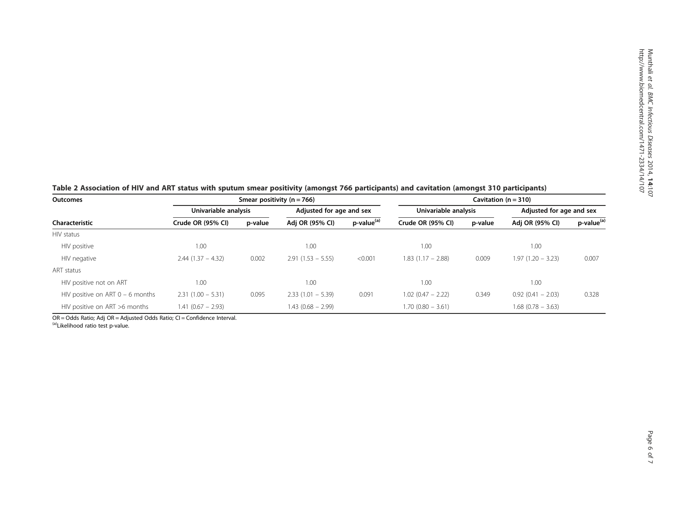| Table 2 Association of HIV and ART status with sputum smear positivity (amongst 766 participants) and cavitation (amongst 310 participants) |  |  |  |  |
|---------------------------------------------------------------------------------------------------------------------------------------------|--|--|--|--|
|---------------------------------------------------------------------------------------------------------------------------------------------|--|--|--|--|

| <b>Outcomes</b>                    | Smear positivity ( $n = 766$ ) |         |                          |                        | Cavitation $(n = 310)$ |         |                          |                        |
|------------------------------------|--------------------------------|---------|--------------------------|------------------------|------------------------|---------|--------------------------|------------------------|
|                                    | Univariable analysis           |         | Adjusted for age and sex |                        | Univariable analysis   |         | Adjusted for age and sex |                        |
| Characteristic                     | Crude OR (95% CI)              | p-value | Adj OR (95% CI)          | p-value <sup>(a)</sup> | Crude OR (95% CI)      | p-value | Adj OR (95% CI)          | p-value <sup>(a)</sup> |
| HIV status                         |                                |         |                          |                        |                        |         |                          |                        |
| HIV positive                       | 1.00                           |         | 1.00                     |                        | 1.00                   |         | 1.00                     |                        |
| HIV negative                       | $2.44(1.37 - 4.32)$            | 0.002   | $2.91(1.53 - 5.55)$      | < 0.001                | $1.83(1.17 - 2.88)$    | 0.009   | $1.97(1.20 - 3.23)$      | 0.007                  |
| ART status                         |                                |         |                          |                        |                        |         |                          |                        |
| HIV positive not on ART            | 1.00                           |         | 1.00                     |                        | 1.00                   |         | 1.00                     |                        |
| HIV positive on ART $0 - 6$ months | $2.31(1.00 - 5.31)$            | 0.095   | $2.33(1.01 - 5.39)$      | 0.091                  | $1.02(0.47 - 2.22)$    | 0.349   | $0.92(0.41 - 2.03)$      | 0.328                  |
| HIV positive on ART >6 months      | $1.41(0.67 - 2.93)$            |         | 1.43 (0.68 – 2.99)       |                        | $1.70(0.80 - 3.61)$    |         | $1.68$ (0.78 - 3.63)     |                        |

OR = Odds Ratio; Adj OR = Adjusted Odds Ratio; CI = Confidence Interval.<br><sup>(a)</sup>Likelihood ratio test p-value.